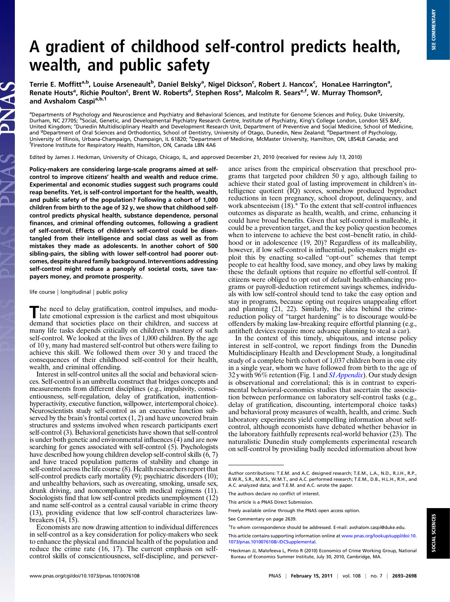## A gradient of childhood self-control predicts health, wealth, and public safety

Terrie E. Moffitt<sup>a,b</sup>, Louise Arseneault<sup>b</sup>, Daniel Belsky<sup>a</sup>, Nigel Dickson<sup>c</sup>, Robert J. Hancox<sup>c</sup>, HonaLee Harrington<sup>a</sup>, Renate Houts<sup>a</sup>, Richie Poulton<sup>c</sup>, Brent W. Roberts<sup>d</sup>, Stephen Ross<sup>a</sup>, Malcolm R. Sears<sup>e,f</sup>, W. Murray Thomson<sup>g</sup>, and Avshalom Caspi<sup>a,b,1</sup>

a<br>Departments of Psychology and Neuroscience and Psychiatry and Behavioral Sciences, and Institute for Genome Sciences and Policy, Duke University, Durham, NC 27705; <sup>'b</sup>Social, Genetic, and Developmental Psychiatry Research Centre, Institute of Psychiatry, King's College London, London SE5 8AF, United Kingdom; <sup>c</sup>Dunedin Multidisciplinary Health and Development Research Unit, Department of Preventive and Social Medicine, School of Medicine, and <sup>g</sup>Department of Oral Sciences and Orthodontics, School of Dentistry, University of Otago, Dunedin, New Zealand; <sup>d</sup>Department of Psychology,<br>University of Illinois, Urbana-Champaign, Champaign, IL 61820; <sup>e</sup>Department Firestone Institute for Respiratory Health, Hamilton, ON, Canada L8N 4A6

Edited by James J. Heckman, University of Chicago, Chicago, IL, and approved December 21, 2010 (received for review July 13, 2010)

Policy-makers are considering large-scale programs aimed at selfcontrol to improve citizens' health and wealth and reduce crime. Experimental and economic studies suggest such programs could reap benefits. Yet, is self-control important for the health, wealth, and public safety of the population? Following a cohort of 1,000 children from birth to the age of 32 y, we show that childhood selfcontrol predicts physical health, substance dependence, personal finances, and criminal offending outcomes, following a gradient of self-control. Effects of children's self-control could be disentangled from their intelligence and social class as well as from mistakes they made as adolescents. In another cohort of 500 sibling-pairs, the sibling with lower self-control had poorer outcomes, despite shared family background. Interventions addressing self-control might reduce a panoply of societal costs, save taxpayers money, and promote prosperity.

life course | longitudinal | public policy

The need to delay gratification, control impulses, and modu-late emotional expression is the earliest and most ubiquitous demand that societies place on their children, and success at many life tasks depends critically on children's mastery of such self-control. We looked at the lives of 1,000 children. By the age of 10 y, many had mastered self-control but others were failing to achieve this skill. We followed them over 30 y and traced the consequences of their childhood self-control for their health, wealth, and criminal offending.

Interest in self-control unites all the social and behavioral sciences. Self-control is an umbrella construct that bridges concepts and measurements from different disciplines (e.g., impulsivity, conscientiousness, self-regulation, delay of gratification, inattentionhyperactivity, executive function, willpower, intertemporal choice). Neuroscientists study self-control as an executive function subserved by the brain's frontal cortex  $(1, 2)$  and have uncovered brain structures and systems involved when research participants exert self-control (3). Behavioral geneticists have shown that self-control is under both genetic and environmental influences (4) and are now searching for genes associated with self-control (5). Psychologists have described how young children develop self-control skills  $(6, 7)$ and have traced population patterns of stability and change in self-control across the life course (8). Health researchers report that self-control predicts early mortality (9); psychiatric disorders (10); and unhealthy behaviors, such as overeating, smoking, unsafe sex, drunk driving, and noncompliance with medical regimens (11). Sociologists find that low self-control predicts unemployment (12) and name self-control as a central causal variable in crime theory (13), providing evidence that low self-control characterizes lawbreakers (14, 15).

Economists are now drawing attention to individual differences in self-control as a key consideration for policy-makers who seek to enhance the physical and financial health of the population and reduce the crime rate (16, 17). The current emphasis on selfcontrol skills of conscientiousness, self-discipline, and perseverance arises from the empirical observation that preschool programs that targeted poor children 50 y ago, although failing to achieve their stated goal of lasting improvement in children's intelligence quotient (IQ) scores, somehow produced byproduct reductions in teen pregnancy, school dropout, delinquency, and work absenteeism (18).\* To the extent that self-control influences outcomes as disparate as health, wealth, and crime, enhancing it could have broad benefits. Given that self-control is malleable, it could be a prevention target, and the key policy question becomes when to intervene to achieve the best cost–benefit ratio, in childhood or in adolescence (19, 20)? Regardless of its malleability, however, if low self-control is influential, policy-makers might exploit this by enacting so-called "opt-out" schemes that tempt people to eat healthy food, save money, and obey laws by making these the default options that require no effortful self-control. If citizens were obliged to opt out of default health-enhancing programs or payroll-deduction retirement savings schemes, individuals with low self-control should tend to take the easy option and stay in programs, because opting out requires unappealing effort and planning (21, 22). Similarly, the idea behind the crimereduction policy of "target hardening" is to discourage would-be offenders by making law-breaking require effortful planning (e.g., antitheft devices require more advance planning to steal a car).

In the context of this timely, ubiquitous, and intense policy interest in self-control, we report findings from the Dunedin Multidisciplinary Health and Development Study, a longitudinal study of a complete birth cohort of 1,037 children born in one city in a single year, whom we have followed from birth to the age of 32 v with 96% retention (Fig. 1 and *[SI Appendix](http://www.pnas.org/lookup/suppl/doi:10.1073/pnas.1010076108/-/DCSupplemental/sapp.pdf)*). Our study design is observational and correlational; this is in contrast to experimental behavioral-economics studies that ascertain the association between performance on laboratory self-control tasks (e.g., delay of gratification, discounting, intertemporal choice tasks) and behavioral proxy measures of wealth, health, and crime. Such laboratory experiments yield compelling information about selfcontrol, although economists have debated whether behavior in the laboratory faithfully represents real-world behavior (23). The naturalistic Dunedin study complements experimental research on self-control by providing badly needed information about how

The authors declare no conflict of interest.

Author contributions: T.E.M. and A.C. designed research; T.E.M., L.A., N.D., R.J.H., R.P., B.W.R., S.R., M.R.S., W.M.T., and A.C. performed research; T.E.M., D.B., H.L.H., R.H., and A.C. analyzed data; and T.E.M. and A.C. wrote the paper.

This article is a PNAS Direct Submission.

Freely available online through the PNAS open access option.

See Commentary on page 2639. <sup>1</sup>To whom correspondence should be addressed. E-mail: [avshalom.caspi@duke.edu.](mailto:avshalom.caspi@duke.edu) This article contains supporting information online at [www.pnas.org/lookup/suppl/doi:10.](http://www.pnas.org/lookup/suppl/doi:10.1073/pnas.1010076108/-/DCSupplemental)

[<sup>1073/</sup>pnas.1010076108/-/DCSupplemental](http://www.pnas.org/lookup/suppl/doi:10.1073/pnas.1010076108/-/DCSupplemental).

<sup>\*</sup>Heckman JJ, Malofeeva L, Pinto R (2010) Economics of Crime Working Group, National Bureau of Economics Summer Institute, July 30, 2010, Cambridge, MA.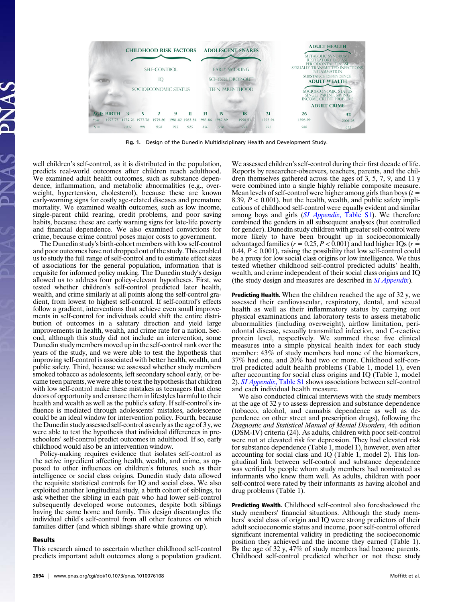

Fig. 1. Design of the Dunedin Multidisciplinary Health and Development Study.

well children's self-control, as it is distributed in the population, predicts real-world outcomes after children reach adulthood. We examined adult health outcomes, such as substance dependence, inflammation, and metabolic abnormalities (e.g., overweight, hypertension, cholesterol), because these are known early-warning signs for costly age-related diseases and premature mortality. We examined wealth outcomes, such as low income, single-parent child rearing, credit problems, and poor saving habits, because these are early warning signs for late-life poverty and financial dependence. We also examined convictions for crime, because crime control poses major costs to government.

The Dunedin study's birth-cohort members with low self-control and poor outcomes have not dropped out of the study. This enabled us to study the full range of self-control and to estimate effect sizes of associations for the general population, information that is requisite for informed policy making. The Dunedin study's design allowed us to address four policy-relevant hypotheses. First, we tested whether children's self-control predicted later health, wealth, and crime similarly at all points along the self-control gradient, from lowest to highest self-control. If self-control's effects follow a gradient, interventions that achieve even small improvements in self-control for individuals could shift the entire distribution of outcomes in a salutary direction and yield large improvements in health, wealth, and crime rate for a nation. Second, although this study did not include an intervention, some Dunedin study members moved up in the self-control rank over the years of the study, and we were able to test the hypothesis that improving self-control is associated with better health, wealth, and public safety. Third, because we assessed whether study members smoked tobacco as adolescents, left secondary school early, or became teen parents, we were able to test the hypothesis that children with low self-control make these mistakes as teenagers that close doors of opportunity and ensnare them in lifestyles harmful to their health and wealth as well as the public's safety. If self-control's influence is mediated through adolescents' mistakes, adolescence could be an ideal window for intervention policy. Fourth, because the Dunedin study assessed self-control as early as the age of 3 y, we were able to test the hypothesis that individual differences in preschoolers' self-control predict outcomes in adulthood. If so, early childhood would also be an intervention window.

Policy-making requires evidence that isolates self-control as the active ingredient affecting health, wealth, and crime, as opposed to other influences on children's futures, such as their intelligence or social class origins. Dunedin study data allowed the requisite statistical controls for IQ and social class. We also exploited another longitudinal study, a birth cohort of siblings, to ask whether the sibling in each pair who had lower self-control subsequently developed worse outcomes, despite both siblings having the same home and family. This design disentangles the individual child's self-control from all other features on which families differ (and which siblings share while growing up).

## Results

This research aimed to ascertain whether childhood self-control predicts important adult outcomes along a population gradient.

We assessed children's self-control during their first decade of life. Reports by researcher-observers, teachers, parents, and the children themselves gathered across the ages of 3, 5, 7, 9, and 11 y were combined into a single highly reliable composite measure. Mean levels of self-control were higher among girls than boys  $(t =$ 8.39,  $P < 0.001$ ), but the health, wealth, and public safety implications of childhood self-control were equally evident and similar among boys and girls ([SI Appendix](http://www.pnas.org/lookup/suppl/doi:10.1073/pnas.1010076108/-/DCSupplemental/sapp.pdf), Table S1). We therefore combined the genders in all subsequent analyses (but controlled for gender). Dunedin study children with greater self-control were more likely to have been brought up in socioeconomically advantaged families ( $r = 0.25, P < 0.001$ ) and had higher IQs ( $r =$ 0.44,  $P < 0.001$ ), raising the possibility that low self-control could be a proxy for low social class origins or low intelligence. We thus tested whether childhood self-control predicted adults' health, wealth, and crime independent of their social class origins and IQ (the study design and measures are described in [SI Appendix](http://www.pnas.org/lookup/suppl/doi:10.1073/pnas.1010076108/-/DCSupplemental/sapp.pdf)).

**Predicting Health.** When the children reached the age of 32 y, we assessed their cardiovascular, respiratory, dental, and sexual health as well as their inflammatory status by carrying out physical examinations and laboratory tests to assess metabolic abnormalities (including overweight), airflow limitation, periodontal disease, sexually transmitted infection, and C-reactive protein level, respectively. We summed these five clinical measures into a simple physical health index for each study member: 43% of study members had none of the biomarkers, 37% had one, and 20% had two or more. Childhood self-control predicted adult health problems (Table 1, model 1), even after accounting for social class origins and IQ (Table 1, model 2). [SI Appendix](http://www.pnas.org/lookup/suppl/doi:10.1073/pnas.1010076108/-/DCSupplemental/sapp.pdf), Table S1 shows associations between self-control and each individual health measure.

We also conducted clinical interviews with the study members at the age of 32 y to assess depression and substance dependence (tobacco, alcohol, and cannabis dependence as well as dependence on other street and prescription drugs), following the Diagnostic and Statistical Manual of Mental Disorders, 4th edition (DSM-IV) criteria (24). As adults, children with poor self-control were not at elevated risk for depression. They had elevated risk for substance dependence (Table 1, model 1), however, even after accounting for social class and IQ (Table 1, model 2). This longitudinal link between self-control and substance dependence was verified by people whom study members had nominated as informants who knew them well. As adults, children with poor self-control were rated by their informants as having alcohol and drug problems (Table 1).

Predicting Wealth. Childhood self-control also foreshadowed the study members' financial situations. Although the study members' social class of origin and IQ were strong predictors of their adult socioeconomic status and income, poor self-control offered significant incremental validity in predicting the socioeconomic position they achieved and the income they earned (Table 1). By the age of 32 y, 47% of study members had become parents. Childhood self-control predicted whether or not these study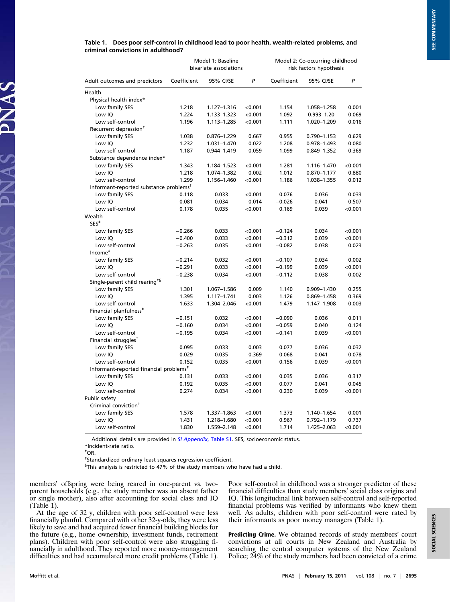| Table 1. Does poor self-control in childhood lead to poor health, wealth-related problems, and |  |
|------------------------------------------------------------------------------------------------|--|
| criminal convictions in adulthood?                                                             |  |

|                                                    | Model 1: Baseline<br>bivariate associations |                 |            | Model 2: Co-occurring childhood<br>risk factors hypothesis |                 |         |
|----------------------------------------------------|---------------------------------------------|-----------------|------------|------------------------------------------------------------|-----------------|---------|
| Adult outcomes and predictors                      | Coefficient                                 | 95% CI/SE       | P          | Coefficient                                                | 95% CI/SE       | P       |
| Health                                             |                                             |                 |            |                                                            |                 |         |
| Physical health index*                             |                                             |                 |            |                                                            |                 |         |
| Low family SES                                     | 1.218                                       | 1.127-1.316     | < 0.001    | 1.154                                                      | 1.058-1.258     | 0.001   |
| Low IQ                                             | 1.224                                       | 1.133-1.323     | < 0.001    | 1.092                                                      | $0.993 - 1.20$  | 0.069   |
| Low self-control                                   | 1.196                                       | 1.113-1.285     | < 0.001    | 1.111                                                      | 1.020-1.209     | 0.016   |
| Recurrent depression <sup>+</sup>                  |                                             |                 |            |                                                            |                 |         |
| Low family SES                                     | 1.038                                       | $0.876 - 1.229$ | 0.667      | 0.955                                                      | 0.790-1.153     | 0.629   |
| Low IQ                                             | 1.232                                       | 1.031-1.470     | 0.022      | 1.208                                                      | 0.978-1.493     | 0.080   |
| Low self-control                                   | 1.187                                       | 0.944-1.419     | 0.059      | 1.099                                                      | 0.849-1.352     | 0.369   |
| Substance dependence index*                        |                                             |                 |            |                                                            |                 |         |
| Low family SES                                     | 1.343                                       | 1.184-1.523     | < 0.001    | 1.281                                                      | 1.116-1.470     | < 0.001 |
| Low IQ                                             | 1.218                                       | 1.074-1.382     | 0.002      | 1.012                                                      | 0.870-1.177     | 0.880   |
| Low self-control                                   | 1.299                                       | 1.156-1.460     | < 0.001    | 1.186                                                      | 1.038-1.355     | 0.012   |
| Informant-reported substance problems <sup>+</sup> |                                             |                 |            |                                                            |                 |         |
| Low family SES                                     | 0.118                                       | 0.033           | < 0.001    | 0.076                                                      | 0.036           | 0.033   |
| Low IQ                                             | 0.081                                       | 0.034           | 0.014      | $-0.026$                                                   | 0.041           | 0.507   |
| Low self-control                                   | 0.178                                       | 0.035           | $<$ 0.001  | 0.169                                                      | 0.039           | < 0.001 |
| Wealth                                             |                                             |                 |            |                                                            |                 |         |
| $SES+$                                             |                                             |                 |            |                                                            |                 |         |
| Low family SES                                     | $-0.266$                                    | 0.033           | < 0.001    | $-0.124$                                                   | 0.034           | < 0.001 |
| Low IQ                                             | $-0.400$                                    | 0.033           | $<$ 0.001  | $-0.312$                                                   | 0.039           | < 0.001 |
| Low self-control                                   | $-0.263$                                    | 0.035           | $<$ 0.001  | $-0.082$                                                   | 0.038           | 0.023   |
| Income <sup>#</sup>                                |                                             |                 |            |                                                            |                 |         |
| Low family SES                                     | $-0.214$                                    | 0.032           | < 0.001    | $-0.107$                                                   | 0.034           | 0.002   |
| Low IQ                                             | $-0.291$                                    | 0.033           | $<$ 0.001  | $-0.199$                                                   | 0.039           | < 0.001 |
| Low self-control                                   | $-0.238$                                    | 0.034           | $<$ 0.001  | $-0.112$                                                   | 0.038           | 0.002   |
| Single-parent child rearing <sup>+§</sup>          |                                             |                 |            |                                                            |                 |         |
| Low family SES                                     | 1.301                                       | 1.067-1.586     | 0.009      | 1.140                                                      | 0.909-1.430     | 0.255   |
| Low IQ                                             | 1.395                                       | 1.117-1.741     | 0.003      | 1.126                                                      | $0.869 - 1.458$ | 0.369   |
| Low self-control                                   | 1.633                                       | 1.304-2.046     |            | 1.479                                                      | 1.147-1.908     | 0.003   |
|                                                    |                                             |                 | ${<}0.001$ |                                                            |                 |         |
| Financial planfulness <sup>#</sup>                 |                                             |                 |            |                                                            |                 |         |
| Low family SES                                     | $-0.151$                                    | 0.032           | ${<}0.001$ | $-0.090$                                                   | 0.036           | 0.011   |
| Low IQ                                             | $-0.160$                                    | 0.034           | < 0.001    | $-0.059$                                                   | 0.040           | 0.124   |
| Low self-control                                   | $-0.195$                                    | 0.034           | $<$ 0.001  | $-0.141$                                                   | 0.039           | < 0.001 |
| Financial struggles <sup>+</sup>                   |                                             |                 |            |                                                            |                 |         |
| Low family SES                                     | 0.095                                       | 0.033           | 0.003      | 0.077                                                      | 0.036           | 0.032   |
| Low IQ                                             | 0.029                                       | 0.035           | 0.369      | $-0.068$                                                   | 0.041           | 0.078   |
| Low self-control                                   | 0.152                                       | 0.035           | $<$ 0.001  | 0.156                                                      | 0.039           | < 0.001 |
| Informant-reported financial problems <sup>#</sup> |                                             |                 |            |                                                            |                 |         |
| Low family SES                                     | 0.131                                       | 0.033           | $<$ 0.001  | 0.035                                                      | 0.036           | 0.317   |
| Low IQ                                             | 0.192                                       | 0.035           | $<$ 0.001  | 0.077                                                      | 0.041           | 0.045   |
| Low self-control                                   | 0.274                                       | 0.034           | < 0.001    | 0.230                                                      | 0.039           | < 0.001 |
| Public safety                                      |                                             |                 |            |                                                            |                 |         |
| Criminal conviction <sup>T</sup>                   |                                             |                 |            |                                                            |                 |         |
| Low family SES                                     | 1.578                                       | 1.337-1.863     | $<$ 0.001  | 1.373                                                      | 1.140-1.654     | 0.001   |
| Low IQ                                             | 1.431                                       | 1.218-1.680     | $<$ 0.001  | 0.967                                                      | 0.792-1.179     | 0.737   |
| Low self-control                                   | 1.830                                       | 1.559-2.148     | $<$ 0.001  | 1.714                                                      | 1.425-2.063     | < 0.001 |

Additional details are provided in [SI Appendix](http://www.pnas.org/lookup/suppl/doi:10.1073/pnas.1010076108/-/DCSupplemental/sapp.pdf), Table S1. SES, socioeconomic status.

\*Incident-rate ratio.

† OR.

‡ Standardized ordinary least squares regression coefficient.

§ This analysis is restricted to 47% of the study members who have had a child.

members' offspring were being reared in one-parent vs. twoparent households (e.g., the study member was an absent father or single mother), also after accounting for social class and IQ (Table 1).

At the age of 32 y, children with poor self-control were less financially planful. Compared with other 32-y-olds, they were less likely to save and had acquired fewer financial building blocks for the future (e.g., home ownership, investment funds, retirement plans). Children with poor self-control were also struggling financially in adulthood. They reported more money-management difficulties and had accumulated more credit problems (Table 1). Poor self-control in childhood was a stronger predictor of these financial difficulties than study members' social class origins and IQ. This longitudinal link between self-control and self-reported financial problems was verified by informants who knew them well. As adults, children with poor self-control were rated by their informants as poor money managers (Table 1).

Predicting Crime. We obtained records of study members' court convictions at all courts in New Zealand and Australia by searching the central computer systems of the New Zealand Police; 24% of the study members had been convicted of a crime

PNAG PNAS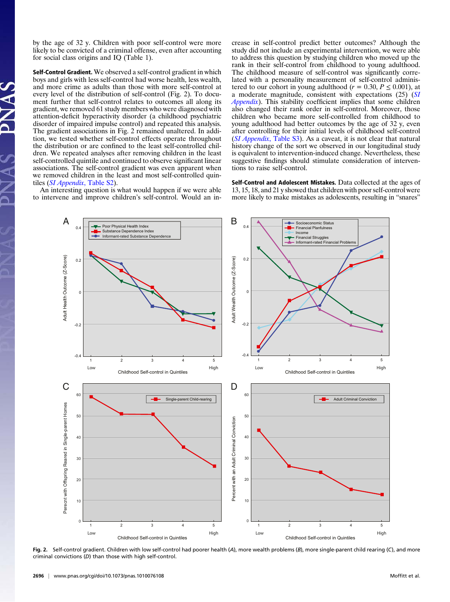by the age of 32 y. Children with poor self-control were more likely to be convicted of a criminal offense, even after accounting for social class origins and IQ (Table 1).

Self-Control Gradient. We observed a self-control gradient in which boys and girls with less self-control had worse health, less wealth, and more crime as adults than those with more self-control at every level of the distribution of self-control (Fig. 2). To document further that self-control relates to outcomes all along its gradient, we removed 61 study members who were diagnosed with attention-deficit hyperactivity disorder (a childhood psychiatric disorder of impaired impulse control) and repeated this analysis. The gradient associations in Fig. 2 remained unaltered. In addition, we tested whether self-control effects operate throughout the distribution or are confined to the least self-controlled children. We repeated analyses after removing children in the least self-controlled quintile and continued to observe significant linear associations. The self-control gradient was even apparent when we removed children in the least and most self-controlled quintiles ([SI Appendix](http://www.pnas.org/lookup/suppl/doi:10.1073/pnas.1010076108/-/DCSupplemental/sapp.pdf), Table S2).

An interesting question is what would happen if we were able to intervene and improve children's self-control. Would an increase in self-control predict better outcomes? Although the study did not include an experimental intervention, we were able to address this question by studying children who moved up the rank in their self-control from childhood to young adulthood. The childhood measure of self-control was significantly correlated with a personality measurement of self-control administered to our cohort in young adulthood ( $r = 0.30, P \le 0.001$ ), at a moderate magnitude, consistent with expectations (25) ([SI](http://www.pnas.org/lookup/suppl/doi:10.1073/pnas.1010076108/-/DCSupplemental/sapp.pdf) [Appendix](http://www.pnas.org/lookup/suppl/doi:10.1073/pnas.1010076108/-/DCSupplemental/sapp.pdf)). This stability coefficient implies that some children also changed their rank order in self-control. Moreover, those children who became more self-controlled from childhood to young adulthood had better outcomes by the age of 32 y, even after controlling for their initial levels of childhood self-control ([SI Appendix](http://www.pnas.org/lookup/suppl/doi:10.1073/pnas.1010076108/-/DCSupplemental/sapp.pdf), Table S3). As a caveat, it is not clear that natural history change of the sort we observed in our longitudinal study is equivalent to intervention-induced change. Nevertheless, these suggestive findings should stimulate consideration of interventions to raise self-control.

Self-Control and Adolescent Mistakes. Data collected at the ages of 13, 15, 18, and 21 y showed that children with poor self-control were more likely to make mistakes as adolescents, resulting in "snares"



Fig. 2. Self-control gradient. Children with low self-control had poorer health (A), more wealth problems (B), more single-parent child rearing (C), and more criminal convictions (D) than those with high self-control.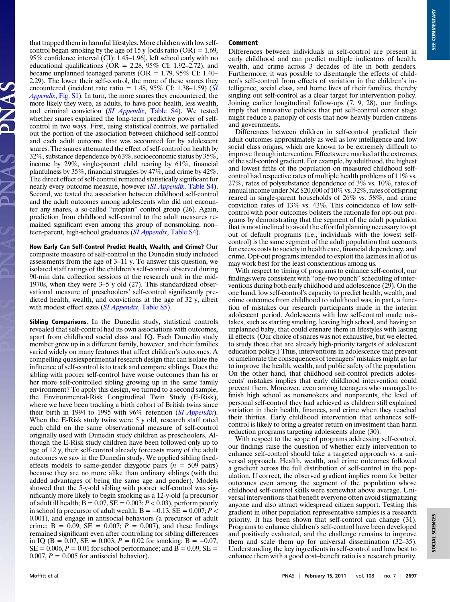that trapped them in harmful lifestyles. More children with low selfcontrol began smoking by the age of 15 y [odds ratio  $(OR) = 1.69$ , 95% confidence interval (CI): 1.45–1.96], left school early with no educational qualifications ( $OR = 2.28$ , 95% CI: 1.92–2.72), and became unplanned teenaged parents (OR = 1.79, 95% CI: 1.40– 2.29). The lower their self-control, the more of these snares they encountered (incident rate ratio = 1.48,  $95\%$  CI: 1.38–1.59) ([SI](http://www.pnas.org/lookup/suppl/doi:10.1073/pnas.1010076108/-/DCSupplemental/sapp.pdf) [Appendix](http://www.pnas.org/lookup/suppl/doi:10.1073/pnas.1010076108/-/DCSupplemental/sapp.pdf), Fig. S1). In turn, the more snares they encountered, the more likely they were, as adults, to have poor health, less wealth, and criminal conviction ([SI Appendix](http://www.pnas.org/lookup/suppl/doi:10.1073/pnas.1010076108/-/DCSupplemental/sapp.pdf), Table S4). We tested whether snares explained the long-term predictive power of selfcontrol in two ways. First, using statistical controls, we partialled out the portion of the association between childhood self-control and each adult outcome that was accounted for by adolescent snares. The snares attenuated the effect of self-control on health by 32%, substance dependence by 63%, socioeconomic status by 35%, income by 29%, single-parent child rearing by 61%, financial planfulness by 35%, financial struggles by 47%, and crime by 42%. The direct effect of self-control remained statistically significant for nearly every outcome measure, however *([SI Appendix](http://www.pnas.org/lookup/suppl/doi:10.1073/pnas.1010076108/-/DCSupplemental/sapp.pdf)*, Table S4). Second, we tested the association between childhood self-control and the adult outcomes among adolescents who did not encounter any snares, a so-called "utopian" control group (26). Again, prediction from childhood self-control to the adult measures remained significant even among this group of nonsmoking, non– teen-parent, high-school graduates ([SI Appendix](http://www.pnas.org/lookup/suppl/doi:10.1073/pnas.1010076108/-/DCSupplemental/sapp.pdf), Table S4).

How Early Can Self-Control Predict Health, Wealth, and Crime? Our composite measure of self-control in the Dunedin study included assessments from the age of 3–11 y. To answer this question, we isolated staff ratings of the children's self-control observed during 90-min data collection sessions at the research unit in the mid-1970s, when they were 3–5 y old (27). This standardized observational measure of preschoolers' self-control significantly predicted health, wealth, and convictions at the age of 32 y, albeit with modest effect sizes ([SI Appendix](http://www.pnas.org/lookup/suppl/doi:10.1073/pnas.1010076108/-/DCSupplemental/sapp.pdf), Table S5).

Sibling Comparisons. In the Dunedin study, statistical controls revealed that self-control had its own associations with outcomes, apart from childhood social class and IQ. Each Dunedin study member grew up in a different family, however, and their families varied widely on many features that affect children's outcomes. A compelling quasiexperimental research design that can isolate the influence of self-control is to track and compare siblings. Does the sibling with poorer self-control have worse outcomes than his or her more self-controlled sibling growing up in the same family environment? To apply this design, we turned to a second sample, the Environmental-Risk Longitudinal Twin Study (E-Risk), where we have been tracking a birth cohort of British twins since their birth in 1994 to 1995 with 96% retention ([SI Appendix](http://www.pnas.org/lookup/suppl/doi:10.1073/pnas.1010076108/-/DCSupplemental/sapp.pdf)). When the E-Risk study twins were 5 y old, research staff rated each child on the same observational measure of self-control originally used with Dunedin study children as preschoolers. Although the E-Risk study children have been followed only up to age of 12 y, their self-control already forecasts many of the adult outcomes we saw in the Dunedin study. We applied sibling fixedeffects models to same-gender dizygotic pairs ( $n = 509$  pairs) because they are no more alike than ordinary siblings (with the added advantages of being the same age and gender). Models showed that the 5-y-old sibling with poorer self-control was significantly more likely to begin smoking as a 12-y-old (a precursor of adult ill health;  $B = 0.07$ ,  $SE = 0.003$ ;  $P < 0.03$ ), perform poorly in school (a precursor of adult wealth;  $B = -0.13$ ,  $SE = 0.007$ ;  $P <$ 0.001), and engage in antisocial behaviors (a precursor of adult crime;  $B = 0.09$ ,  $SE = 0.007$ ;  $P = 0.007$ ), and these findings remained significant even after controlling for sibling differences in IQ (B =  $0.07$ , SE =  $0.003$ , P =  $0.02$  for smoking; B =  $-0.07$ ,  $SE = 0.006, P = 0.01$  for school performance; and  $B = 0.09$ ,  $SE =$ 0.007,  $P = 0.005$  for antisocial behavior).

## Comment

Differences between individuals in self-control are present in early childhood and can predict multiple indicators of health, wealth, and crime across 3 decades of life in both genders. Furthermore, it was possible to disentangle the effects of children's self-control from effects of variation in the children's intelligence, social class, and home lives of their families, thereby singling out self-control as a clear target for intervention policy. Joining earlier longitudinal follow-ups (7, 9, 28), our findings imply that innovative policies that put self-control center stage might reduce a panoply of costs that now heavily burden citizens and governments.

Differences between children in self-control predicted their adult outcomes approximately as well as low intelligence and low social class origins, which are known to be extremely difficult to improve through intervention. Effects were marked at the extremes of the self-control gradient. For example, by adulthood, the highest and lowest fifths of the population on measured childhood selfcontrol had respective rates of multiple health problems of 11% vs. 27%, rates of polysubstance dependence of 3% vs. 10%, rates of annual income under NZ \$20,000 of 10% vs. 32%, rates of offspring reared in single-parent households of 26% vs. 58%, and crime conviction rates of 13% vs. 43%. This coincidence of low selfcontrol with poor outcomes bolsters the rationale for opt-out programs by demonstrating that the segment of the adult population that is most inclined to avoid the effortful planning necessary to opt out of default programs (i.e., individuals with the lowest selfcontrol) is the same segment of the adult population that accounts for excess costs to society in health care, financial dependency, and crime. Opt-out programs intended to exploit the laziness in all of us may work best for the least conscientious among us.

With respect to timing of programs to enhance self-control, our findings were consistent with "one-two punch" scheduling of interventions during both early childhood and adolescence (29). On the one hand, low self-control's capacity to predict health, wealth, and crime outcomes from childhood to adulthood was, in part, a function of mistakes our research participants made in the interim adolescent period. Adolescents with low self-control made mistakes, such as starting smoking, leaving high school, and having an unplanned baby, that could ensnare them in lifestyles with lasting ill effects. (Our choice of snares was not exhaustive, but we elected to study those that are already high-priority targets of adolescent education policy.) Thus, interventions in adolescence that prevent or ameliorate the consequences of teenagers' mistakes might go far to improve the health, wealth, and public safety of the population. On the other hand, that childhood self-control predicts adolescents' mistakes implies that early childhood intervention could prevent them. Moreover, even among teenagers who managed to finish high school as nonsmokers and nonparents, the level of personal self-control they had achieved as children still explained variation in their health, finances, and crime when they reached their thirties. Early childhood intervention that enhances selfcontrol is likely to bring a greater return on investment than harm reduction programs targeting adolescents alone (30).

With respect to the scope of programs addressing self-control, our findings raise the question of whether early intervention to enhance self-control should take a targeted approach vs. a universal approach. Health, wealth, and crime outcomes followed a gradient across the full distribution of self-control in the population. If correct, the observed gradient implies room for better outcomes even among the segment of the population whose childhood self-control skills were somewhat above average. Universal interventions that benefit everyone often avoid stigmatizing anyone and also attract widespread citizen support. Testing this gradient in other population representative samples is a research priority. It has been shown that self-control can change (31). Programs to enhance children's self-control have been developed and positively evaluated, and the challenge remains to improve them and scale them up for universal dissemination  $(32-35)$ . Understanding the key ingredients in self-control and how best to enhance them with a good cost–benefit ratio is a research priority.